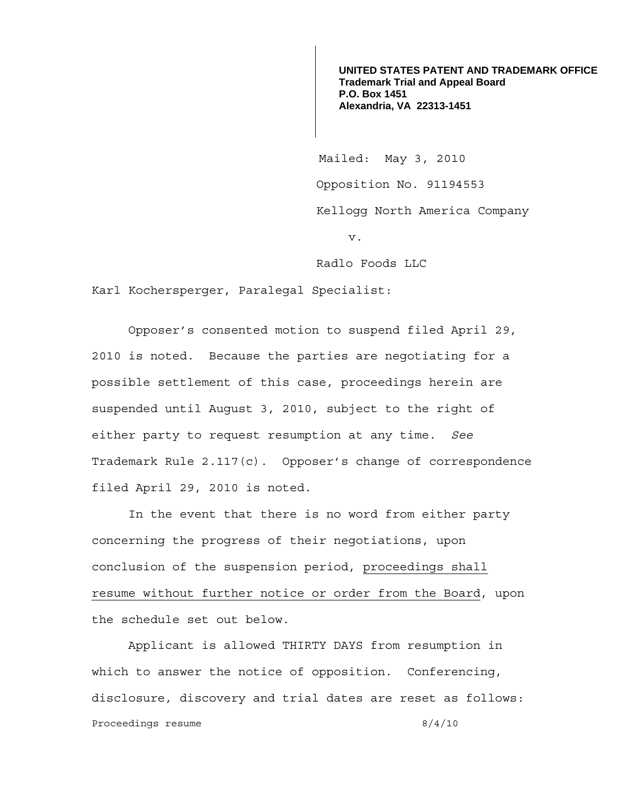**UNITED STATES PATENT AND TRADEMARK OFFICE Trademark Trial and Appeal Board P.O. Box 1451 Alexandria, VA 22313-1451**

 Mailed: May 3, 2010 Opposition No. 91194553 Kellogg North America Company v.

Radlo Foods LLC

Karl Kochersperger, Paralegal Specialist:

 Opposer's consented motion to suspend filed April 29, 2010 is noted. Because the parties are negotiating for a possible settlement of this case, proceedings herein are suspended until August 3, 2010, subject to the right of either party to request resumption at any time. *See* Trademark Rule 2.117(c). Opposer's change of correspondence filed April 29, 2010 is noted.

 In the event that there is no word from either party concerning the progress of their negotiations, upon conclusion of the suspension period, proceedings shall resume without further notice or order from the Board, upon the schedule set out below.

 Applicant is allowed THIRTY DAYS from resumption in which to answer the notice of opposition. Conferencing, disclosure, discovery and trial dates are reset as follows: Proceedings resume 8/4/10